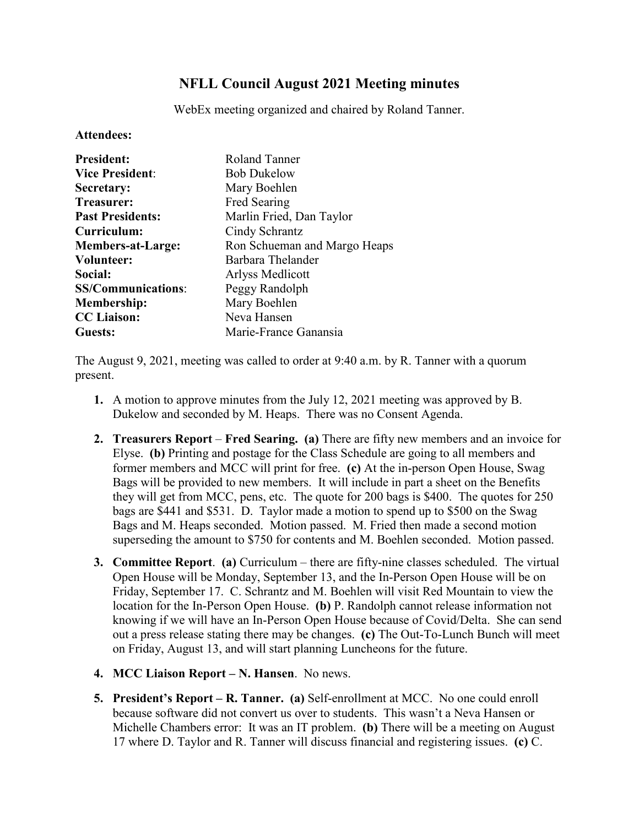## **NFLL Council August 2021 Meeting minutes**

WebEx meeting organized and chaired by Roland Tanner.

## **Attendees:**

| <b>President:</b>         | Roland Tanner                |
|---------------------------|------------------------------|
| <b>Vice President:</b>    | <b>Bob Dukelow</b>           |
| Secretary:                | Mary Boehlen                 |
| <b>Treasurer:</b>         | Fred Searing                 |
| <b>Past Presidents:</b>   | Marlin Fried, Dan Taylor     |
| Curriculum:               | Cindy Schrantz               |
| <b>Members-at-Large:</b>  | Ron Schueman and Margo Heaps |
| <b>Volunteer:</b>         | Barbara Thelander            |
| Social:                   | Arlyss Medlicott             |
| <b>SS/Communications:</b> | Peggy Randolph               |
| <b>Membership:</b>        | Mary Boehlen                 |
| <b>CC</b> Liaison:        | Neva Hansen                  |
| Guests:                   | Marie-France Ganansia        |

The August 9, 2021, meeting was called to order at 9:40 a.m. by R. Tanner with a quorum present.

- **1.** A motion to approve minutes from the July 12, 2021 meeting was approved by B. Dukelow and seconded by M. Heaps. There was no Consent Agenda.
- **2. Treasurers Report Fred Searing. (a)** There are fifty new members and an invoice for Elyse. **(b)** Printing and postage for the Class Schedule are going to all members and former members and MCC will print for free. **(c)** At the in-person Open House, Swag Bags will be provided to new members. It will include in part a sheet on the Benefits they will get from MCC, pens, etc. The quote for 200 bags is \$400. The quotes for 250 bags are \$441 and \$531. D. Taylor made a motion to spend up to \$500 on the Swag Bags and M. Heaps seconded. Motion passed. M. Fried then made a second motion superseding the amount to \$750 for contents and M. Boehlen seconded. Motion passed.
- **3. Committee Report**. **(a)** Curriculum there are fifty-nine classes scheduled. The virtual Open House will be Monday, September 13, and the In-Person Open House will be on Friday, September 17. C. Schrantz and M. Boehlen will visit Red Mountain to view the location for the In-Person Open House. **(b)** P. Randolph cannot release information not knowing if we will have an In-Person Open House because of Covid/Delta. She can send out a press release stating there may be changes. **(c)** The Out-To-Lunch Bunch will meet on Friday, August 13, and will start planning Luncheons for the future.
- **4. MCC Liaison Report – N. Hansen**. No news.
- **5. President's Report – R. Tanner. (a)** Self-enrollment at MCC. No one could enroll because software did not convert us over to students. This wasn't a Neva Hansen or Michelle Chambers error: It was an IT problem. **(b)** There will be a meeting on August 17 where D. Taylor and R. Tanner will discuss financial and registering issues. **(c)** C.